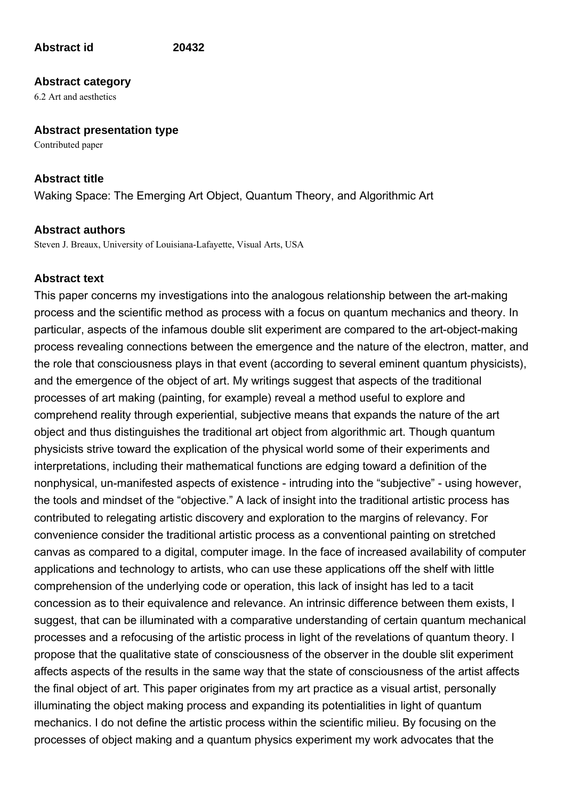# **Abstract id 20432**

# **Abstract category**

6.2 Art and aesthetics

### **Abstract presentation type**

Contributed paper

# **Abstract title**

Waking Space: The Emerging Art Object, Quantum Theory, and Algorithmic Art

# **Abstract authors**

Steven J. Breaux, University of Louisiana-Lafayette, Visual Arts, USA

# **Abstract text**

This paper concerns my investigations into the analogous relationship between the art-making process and the scientific method as process with a focus on quantum mechanics and theory. In particular, aspects of the infamous double slit experiment are compared to the art-object-making process revealing connections between the emergence and the nature of the electron, matter, and the role that consciousness plays in that event (according to several eminent quantum physicists), and the emergence of the object of art. My writings suggest that aspects of the traditional processes of art making (painting, for example) reveal a method useful to explore and comprehend reality through experiential, subjective means that expands the nature of the art object and thus distinguishes the traditional art object from algorithmic art. Though quantum physicists strive toward the explication of the physical world some of their experiments and interpretations, including their mathematical functions are edging toward a definition of the nonphysical, un-manifested aspects of existence - intruding into the "subjective" - using however, the tools and mindset of the "objective." A lack of insight into the traditional artistic process has contributed to relegating artistic discovery and exploration to the margins of relevancy. For convenience consider the traditional artistic process as a conventional painting on stretched canvas as compared to a digital, computer image. In the face of increased availability of computer applications and technology to artists, who can use these applications off the shelf with little comprehension of the underlying code or operation, this lack of insight has led to a tacit concession as to their equivalence and relevance. An intrinsic difference between them exists, I suggest, that can be illuminated with a comparative understanding of certain quantum mechanical processes and a refocusing of the artistic process in light of the revelations of quantum theory. I propose that the qualitative state of consciousness of the observer in the double slit experiment affects aspects of the results in the same way that the state of consciousness of the artist affects the final object of art. This paper originates from my art practice as a visual artist, personally illuminating the object making process and expanding its potentialities in light of quantum mechanics. I do not define the artistic process within the scientific milieu. By focusing on the processes of object making and a quantum physics experiment my work advocates that the